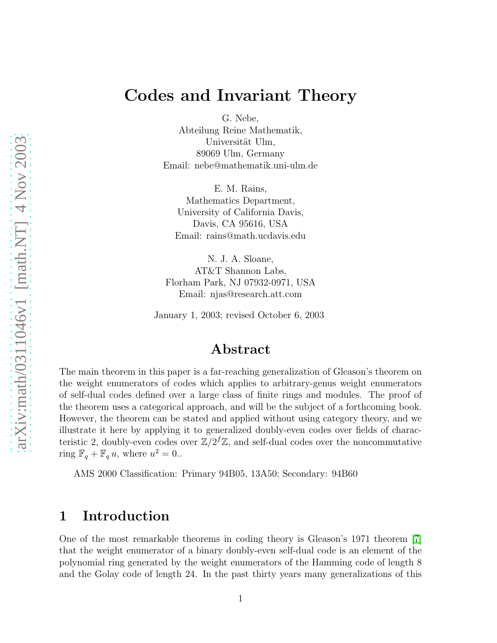G. Nebe, Abteilung Reine Mathematik, Universität Ulm, 89069 Ulm, Germany Email: nebe@mathematik.uni-ulm.de

E. M. Rains, Mathematics Department, University of California Davis, Davis, CA 95616, USA Email: rains@math.ucdavis.edu

N. J. A. Sloane, AT&T Shannon Labs, Florham Park, NJ 07932-0971, USA Email: njas@research.att.com

January 1, 2003; revised October 6, 2003

#### Abstract

The main theorem in this paper is a far-reaching generalization of Gleason's theorem on the weight enumerators of codes which applies to arbitrary-genus weight enumerators of self-dual codes defined over a large class of finite rings and modules. The proof of the theorem uses a categorical approach, and will be the subject of a forthcoming book. However, the theorem can be stated and applied without using category theory, and we illustrate it here by applying it to generalized doubly-even codes over fields of characteristic 2, doubly-even codes over  $\mathbb{Z}/2^f\mathbb{Z}$ , and self-dual codes over the noncommutative ring  $\mathbb{F}_q + \mathbb{F}_q u$ , where  $u^2 = 0$ ..

AMS 2000 Classification: Primary 94B05, 13A50; Secondary: 94B60

#### 1 Introduction

One of the most remarkable theorems in coding theory is Gleason's 1971 theorem [\[7\]](#page-16-0) that the weight enumerator of a binary doubly-even self-dual code is an element of the polynomial ring generated by the weight enumerators of the Hamming code of length 8 and the Golay code of length 24. In the past thirty years many generalizations of this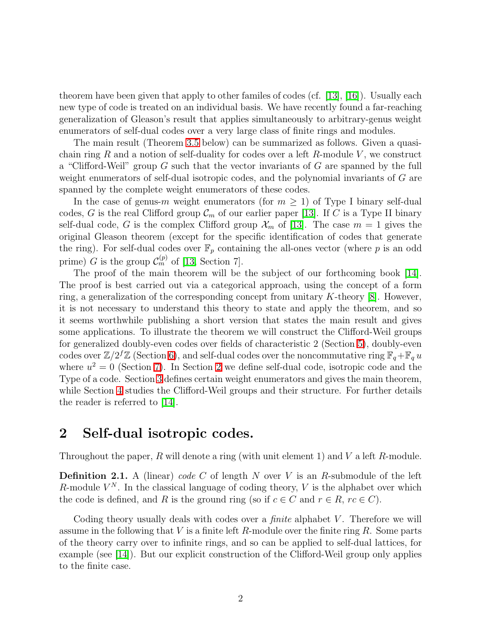theorem have been given that apply to other familes of codes (cf. [\[13\]](#page-16-1), [\[16\]](#page-17-0)). Usually each new type of code is treated on an individual basis. We have recently found a far-reaching generalization of Gleason's result that applies simultaneously to arbitrary-genus weight enumerators of self-dual codes over a very large class of finite rings and modules.

The main result (Theorem [3.5](#page-5-0) below) can be summarized as follows. Given a quasichain ring R and a notion of self-duality for codes over a left R-module V, we construct a "Clifford-Weil" group G such that the vector invariants of G are spanned by the full weight enumerators of self-dual isotropic codes, and the polynomial invariants of G are spanned by the complete weight enumerators of these codes.

In the case of genus-m weight enumerators (for  $m \geq 1$ ) of Type I binary self-dual codes, G is the real Clifford group  $\mathcal{C}_m$  of our earlier paper [\[13\]](#page-16-1). If C is a Type II binary self-dual code, G is the complex Clifford group  $\mathcal{X}_m$  of [\[13\]](#page-16-1). The case  $m = 1$  gives the original Gleason theorem (except for the specific identification of codes that generate the ring). For self-dual codes over  $\mathbb{F}_p$  containing the all-ones vector (where p is an odd prime) G is the group  $\mathcal{C}_m^{(p)}$  of [\[13,](#page-16-1) Section 7].

The proof of the main theorem will be the subject of our forthcoming book [\[14\]](#page-16-2). The proof is best carried out via a categorical approach, using the concept of a form ring, a generalization of the corresponding concept from unitary  $K$ -theory [\[8\]](#page-16-3). However, it is not necessary to understand this theory to state and apply the theorem, and so it seems worthwhile publishing a short version that states the main result and gives some applications. To illustrate the theorem we will construct the Clifford-Weil groups for generalized doubly-even codes over fields of characteristic 2 (Section [5\)](#page-8-0), doubly-even codes over  $\mathbb{Z}/2^f\mathbb{Z}$  (Section [6\)](#page-11-0), and self-dual codes over the noncommutative ring  $\mathbb{F}_q + \mathbb{F}_q u$ where  $u^2 = 0$  (Section [7\)](#page-13-0). In Section [2](#page-1-0) we define self-dual code, isotropic code and the Type of a code. Section [3](#page-4-0) defines certain weight enumerators and gives the main theorem, while Section [4](#page-6-0) studies the Clifford-Weil groups and their structure. For further details the reader is referred to [\[14\]](#page-16-2).

#### <span id="page-1-0"></span>2 Self-dual isotropic codes.

Throughout the paper, R will denote a ring (with unit element 1) and V a left R-module.

**Definition 2.1.** A (linear) *code* C of length N over V is an R-submodule of the left R-module  $V^N$ . In the classical language of coding theory, V is the alphabet over which the code is defined, and R is the ground ring (so if  $c \in C$  and  $r \in R$ ,  $rc \in C$ ).

Coding theory usually deals with codes over a *finite* alphabet V. Therefore we will assume in the following that  $V$  is a finite left  $R$ -module over the finite ring  $R$ . Some parts of the theory carry over to infinite rings, and so can be applied to self-dual lattices, for example (see [\[14\]](#page-16-2)). But our explicit construction of the Clifford-Weil group only applies to the finite case.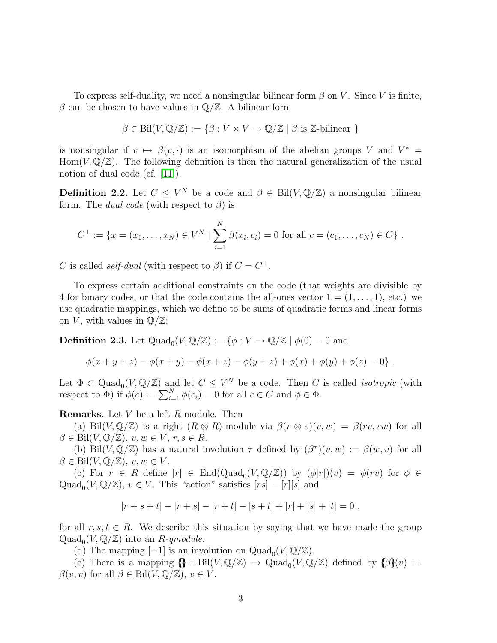To express self-duality, we need a nonsingular bilinear form  $\beta$  on V. Since V is finite, β can be chosen to have values in  $\mathbb{Q}/\mathbb{Z}$ . A bilinear form

$$
\beta \in \text{Bil}(V, \mathbb{Q}/\mathbb{Z}) := \{ \beta : V \times V \to \mathbb{Q}/\mathbb{Z} \mid \beta \text{ is } \mathbb{Z}\text{-bilinear } \}
$$

is nonsingular if  $v \mapsto \beta(v, \cdot)$  is an isomorphism of the abelian groups V and  $V^* =$ Hom( $V, \mathbb{Q}/\mathbb{Z}$ ). The following definition is then the natural generalization of the usual notion of dual code (cf. [\[11\]](#page-16-4)).

**Definition 2.2.** Let  $C \leq V^N$  be a code and  $\beta \in \text{Bil}(V, \mathbb{Q}/\mathbb{Z})$  a nonsingular bilinear form. The *dual code* (with respect to  $\beta$ ) is

$$
C^{\perp} := \{x = (x_1, \ldots, x_N) \in V^N \mid \sum_{i=1}^N \beta(x_i, c_i) = 0 \text{ for all } c = (c_1, \ldots, c_N) \in C\}.
$$

C is called *self-dual* (with respect to  $\beta$ ) if  $C = C^{\perp}$ .

To express certain additional constraints on the code (that weights are divisible by 4 for binary codes, or that the code contains the all-ones vector  $\mathbf{1} = (1, \ldots, 1)$ , etc.) we use quadratic mappings, which we define to be sums of quadratic forms and linear forms on V, with values in  $\mathbb{Q}/\mathbb{Z}$ :

**Definition 2.3.** Let  $\text{Quad}_0(V, \mathbb{Q}/\mathbb{Z}) := \{ \phi : V \to \mathbb{Q}/\mathbb{Z} \mid \phi(0) = 0 \text{ and }$ 

$$
\phi(x + y + z) - \phi(x + y) - \phi(x + z) - \phi(y + z) + \phi(x) + \phi(y) + \phi(z) = 0
$$

Let  $\Phi \subset \text{Quad}_0(V, \mathbb{Q}/\mathbb{Z})$  and let  $C \leq V^N$  be a code. Then C is called *isotropic* (with respect to  $\Phi$ ) if  $\phi(c) := \sum_{i=1}^{N} \phi(c_i) = 0$  for all  $c \in C$  and  $\phi \in \Phi$ .

Remarks*.* Let V be a left R-module. Then

(a) Bil(V,  $\mathbb{Q}/\mathbb{Z}$ ) is a right  $(R \otimes R)$ -module via  $\beta(r \otimes s)(v, w) = \beta(rv, sw)$  for all  $\beta \in \text{Bil}(V, \mathbb{Q}/\mathbb{Z}), v, w \in V, r, s \in R.$ 

(b) Bil(V,  $\mathbb{Q}/\mathbb{Z}$ ) has a natural involution  $\tau$  defined by  $(\beta^{\tau})(v, w) := \beta(w, v)$  for all  $\beta \in \text{Bil}(V, \mathbb{Q}/\mathbb{Z}), v, w \in V.$ 

(c) For  $r \in R$  define  $[r] \in \text{End}(Quad_0(V, \mathbb{Q}/\mathbb{Z}))$  by  $(\phi[r])(v) = \phi(rv)$  for  $\phi \in$ Quad<sub>0</sub> $(V, \mathbb{Q}/\mathbb{Z})$ ,  $v \in V$ . This "action" satisfies  $[rs] = [r][s]$  and

$$
[r + s + t] - [r + s] - [r + t] - [s + t] + [r] + [s] + [t] = 0,
$$

for all  $r, s, t \in R$ . We describe this situation by saying that we have made the group  $\mathrm{Quad}_0(V, \mathbb{Q}/\mathbb{Z})$  into an *R*-qmodule.

(d) The mapping  $[-1]$  is an involution on  $\text{Quad}_0(V, \mathbb{Q}/\mathbb{Z})$ .

(e) There is a mapping  ${\mathbb G}$ : Bil $(V, {\mathbb Q}/{\mathbb Z}) \to {\rm Quad}_0(V, {\mathbb Q}/{\mathbb Z})$  defined by  ${\{\beta\}}(v) :=$  $\beta(v, v)$  for all  $\beta \in \text{Bil}(V, \mathbb{Q}/\mathbb{Z}), v \in V$ .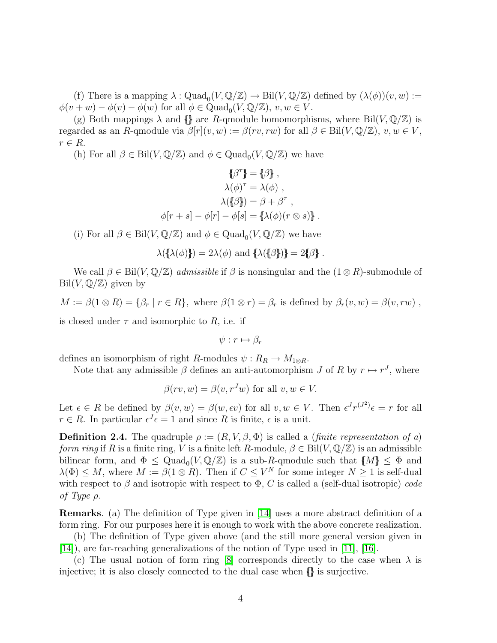(f) There is a mapping  $\lambda: \text{Quad}_0(V, \mathbb{Q}/\mathbb{Z}) \to \text{Bil}(V, \mathbb{Q}/\mathbb{Z})$  defined by  $(\lambda(\phi))(v, w) :=$  $\phi(v+w) - \phi(v) - \phi(w)$  for all  $\phi \in \text{Quad}_0(V, \mathbb{Q}/\mathbb{Z}), v, w \in V$ .

(g) Both mappings  $\lambda$  and  $\{\}\$ are R-qmodule homomorphisms, where Bil $(V, \mathbb{Q}/\mathbb{Z})$  is regarded as an R-qmodule via  $\beta[r](v, w) := \beta(rv, rw)$  for all  $\beta \in \text{Bil}(V, \mathbb{Q}/\mathbb{Z}), v, w \in V$ ,  $r \in R$ .

(h) For all  $\beta \in \text{Bil}(V, \mathbb{Q}/\mathbb{Z})$  and  $\phi \in \text{Quad}_0(V, \mathbb{Q}/\mathbb{Z})$  we have

$$
\{\beta^{\tau}\} = \{\beta\},
$$

$$
\lambda(\phi)^{\tau} = \lambda(\phi),
$$

$$
\lambda(\{\beta\}) = \beta + \beta^{\tau},
$$

$$
\phi[r+s] - \phi[r] - \phi[s] = \{\lambda(\phi)(r \otimes s)\}.
$$

(i) For all  $\beta \in \text{Bil}(V, \mathbb{Q}/\mathbb{Z})$  and  $\phi \in \text{Quad}_0(V, \mathbb{Q}/\mathbb{Z})$  we have

$$
\lambda(\lbrace \lambda(\phi) \rbrace) = 2\lambda(\phi) \text{ and } \lbrace \lambda(\lbrace \beta \rbrace) \rbrace = 2\lbrace \beta \rbrace.
$$

We call  $\beta \in \text{Bil}(V, \mathbb{Q}/\mathbb{Z})$  *admissible* if  $\beta$  is nonsingular and the  $(1 \otimes R)$ -submodule of  $\text{Bil}(V, \mathbb{Q}/\mathbb{Z})$  given by

 $M := \beta(1 \otimes R) = \{\beta_r \mid r \in R\},\$  where  $\beta(1 \otimes r) = \beta_r$  is defined by  $\beta_r(v, w) = \beta(v, rw)$ ,

is closed under  $\tau$  and isomorphic to R, i.e. if

 $\psi: r \mapsto \beta_r$ 

defines an isomorphism of right R-modules  $\psi : R_R \to M_{1 \otimes R}$ .

Note that any admissible  $\beta$  defines an anti-automorphism  $J$  of  $R$  by  $r \mapsto r^J$ , where

$$
\beta(rv, w) = \beta(v, r^J w) \text{ for all } v, w \in V.
$$

Let  $\epsilon \in R$  be defined by  $\beta(v, w) = \beta(w, \epsilon v)$  for all  $v, w \in V$ . Then  $\epsilon^J r^{(J^2)} \epsilon = r$  for all  $r \in R$ . In particular  $\epsilon^{J} \epsilon = 1$  and since R is finite,  $\epsilon$  is a unit.

**Definition 2.4.** The quadruple  $\rho := (R, V, \beta, \Phi)$  is called a *(finite representation of a) form ring* if R is a finite ring, V is a finite left R-module,  $\beta \in \text{Bil}(V, \mathbb Q/\mathbb Z)$  is an admissible bilinear form, and  $\Phi \le \text{Quad}_0(V, \mathbb{Q}/\mathbb{Z})$  is a sub-R-qmodule such that  $\{M\} \le \Phi$  and  $\lambda(\Phi) \leq M$ , where  $M := \beta(1 \otimes R)$ . Then if  $C \leq V^N$  for some integer  $N \geq 1$  is self-dual with respect to  $\beta$  and isotropic with respect to  $\Phi$ , C is called a (self-dual isotropic) *code of Type* ρ.

Remarks*.* (a) The definition of Type given in [\[14\]](#page-16-2) uses a more abstract definition of a form ring. For our purposes here it is enough to work with the above concrete realization.

(b) The definition of Type given above (and the still more general version given in [\[14\]](#page-16-2)), are far-reaching generalizations of the notion of Type used in [\[11\]](#page-16-4), [\[16\]](#page-17-0).

(c) The usual notion of form ring [\[8\]](#page-16-3) corresponds directly to the case when  $\lambda$  is injective; it is also closely connected to the dual case when {{}} is surjective.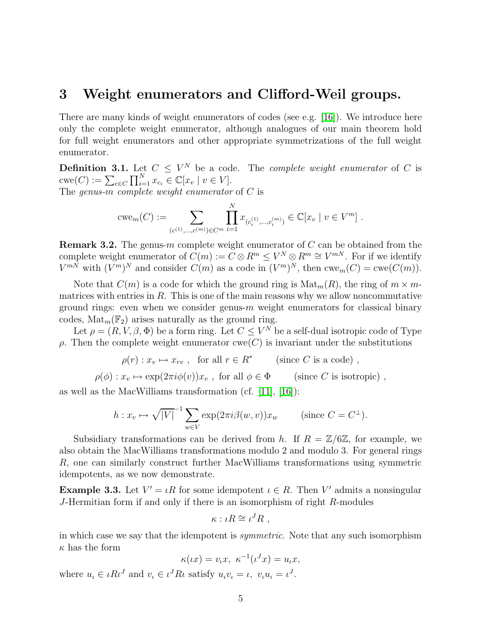#### <span id="page-4-0"></span>3 Weight enumerators and Clifford-Weil groups.

There are many kinds of weight enumerators of codes (see e.g. [\[16\]](#page-17-0)). We introduce here only the complete weight enumerator, although analogues of our main theorem hold for full weight enumerators and other appropriate symmetrizations of the full weight enumerator.

**Definition 3.1.** Let  $C \leq V^N$  be a code. The *complete weight enumerator* of C is  $cwe(C) := \sum_{c \in C} \prod_{i=1}^{N} x_{c_i} \in \mathbb{C}[x_v \mid v \in V].$ The *genus-*m *complete weight enumerator* of C is

$$
cwe_m(C) := \sum_{(c^{(1)}, \dots, c^{(m)}) \in C^m} \prod_{i=1}^N x_{(c_i^{(1)}, \dots, c_i^{(m)})} \in \mathbb{C}[x_v \mid v \in V^m].
$$

<span id="page-4-1"></span>**Remark 3.2.** The genus-m complete weight enumerator of  $C$  can be obtained from the complete weight enumerator of  $C(m) := C \otimes R^m \leq V^N \otimes R^m \cong V^{mN}$ . For if we identify  $V^{mN}$  with  $(V^m)^N$  and consider  $C(m)$  as a code in  $(V^m)^N$ , then  $cwem(C) = cwe(C(m))$ .

Note that  $C(m)$  is a code for which the ground ring is  $\text{Mat}_m(R)$ , the ring of  $m \times m$ matrices with entries in  $R$ . This is one of the main reasons why we allow noncommutative ground rings: even when we consider genus- $m$  weight enumerators for classical binary codes,  $\text{Mat}_m(\mathbb{F}_2)$  arises naturally as the ground ring.

Let  $\rho = (R, V, \beta, \Phi)$  be a form ring. Let  $C \leq V^N$  be a self-dual isotropic code of Type  $ρ$ . Then the complete weight enumerator cwe(C) is invariant under the substitutions

$$
\rho(r) : x_v \mapsto x_{rv} , \text{ for all } r \in R^* \qquad \text{(since } C \text{ is a code)} ,
$$

 $\rho(\phi) : x_\eta \mapsto \exp(2\pi i \phi(v))x_\eta$ , for all  $\phi \in \Phi$  (since C is isotropic),

as well as the MacWilliams transformation (cf. [\[11\]](#page-16-4), [\[16\]](#page-17-0)):

$$
h: x_v \mapsto \sqrt{|V|}^{-1} \sum_{w \in V} \exp(2\pi i \beta(w, v)) x_w \qquad \text{(since } C = C^{\perp}\text{)}.
$$

Subsidiary transformations can be derived from h. If  $R = \mathbb{Z}/6\mathbb{Z}$ , for example, we also obtain the MacWilliams transformations modulo 2 and modulo 3. For general rings R, one can similarly construct further MacWilliams transformations using symmetric idempotents, as we now demonstrate.

**Example 3.3.** Let  $V' = \iota R$  for some idempotent  $\iota \in R$ . Then V' admits a nonsingular J-Hermitian form if and only if there is an isomorphism of right R-modules

$$
\kappa : \iota R \cong \iota^J R \;,
$$

in which case we say that the idempotent is *symmetric*. Note that any such isomorphism  $\kappa$  has the form

$$
\kappa(\iota x) = v_{\iota} x, \ \kappa^{-1}(\iota^J x) = u_{\iota} x,
$$

where  $u_{\iota} \in \iota R \iota^{J}$  and  $v_{\iota} \in \iota^{J} R \iota$  satisfy  $u_{\iota} v_{\iota} = \iota, v_{\iota} u_{\iota} = \iota^{J}$ .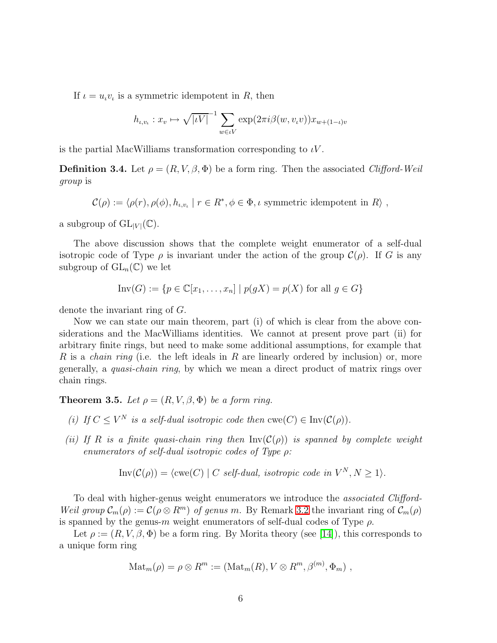If  $\iota = u_{\iota}v_{\iota}$  is a symmetric idempotent in R, then

$$
h_{\iota,v_{\iota}}: x_{v} \mapsto \sqrt{|\iota V|}^{-1} \sum_{w \in \iota V} \exp(2\pi i \beta(w, v_{\iota}v)) x_{w+(1-\iota)v}
$$

is the partial MacWilliams transformation corresponding to  $\iota V$ .

**Definition 3.4.** Let  $\rho = (R, V, \beta, \Phi)$  be a form ring. Then the associated *Clifford-Weil group* is

 $\mathcal{C}(\rho) := \langle \rho(r), \rho(\phi), h_{\iota,v_{\iota}} \mid r \in R^*, \phi \in \Phi, \iota \text{ symmetric idempotent in } R \rangle,$ 

a subgroup of  $GL_{|V|}(\mathbb{C})$ .

The above discussion shows that the complete weight enumerator of a self-dual isotropic code of Type  $\rho$  is invariant under the action of the group  $\mathcal{C}(\rho)$ . If G is any subgroup of  $GL_n(\mathbb{C})$  we let

$$
\text{Inv}(G) := \{ p \in \mathbb{C}[x_1, \dots, x_n] \mid p(gX) = p(X) \text{ for all } g \in G \}
$$

denote the invariant ring of G.

Now we can state our main theorem, part (i) of which is clear from the above considerations and the MacWilliams identities. We cannot at present prove part (ii) for arbitrary finite rings, but need to make some additional assumptions, for example that R is a *chain ring* (i.e. the left ideals in R are linearly ordered by inclusion) or, more generally, a *quasi-chain ring*, by which we mean a direct product of matrix rings over chain rings.

<span id="page-5-0"></span>**Theorem 3.5.** Let  $\rho = (R, V, \beta, \Phi)$  be a form ring.

- *(i)* If  $C \leq V^N$  *is a self-dual isotropic code then*  $\text{cwe}(C) \in \text{Inv}(\mathcal{C}(\rho)).$
- *(ii)* If R *is a finite quasi-chain ring then*  $Inv(\mathcal{C}(\rho))$  *is spanned by complete weight enumerators of self-dual isotropic codes of Type* ρ*:*

$$
Inv(\mathcal{C}(\rho)) = \langle cwe(C) | C \ \text{self-dual, isotropic code in } V^N, N \ge 1 \rangle.
$$

To deal with higher-genus weight enumerators we introduce the *associated Clifford-Weil group*  $\mathcal{C}_m(\rho) := \mathcal{C}(\rho \otimes R^m)$  *of genus m.* By Remark [3.2](#page-4-1) the invariant ring of  $\mathcal{C}_m(\rho)$ is spanned by the genus-m weight enumerators of self-dual codes of Type  $\rho$ .

Let  $\rho := (R, V, \beta, \Phi)$  be a form ring. By Morita theory (see [\[14\]](#page-16-2)), this corresponds to a unique form ring

$$
\mathrm{Mat}_m(\rho) = \rho \otimes R^m := (\mathrm{Mat}_m(R), V \otimes R^m, \beta^{(m)}, \Phi_m) ,
$$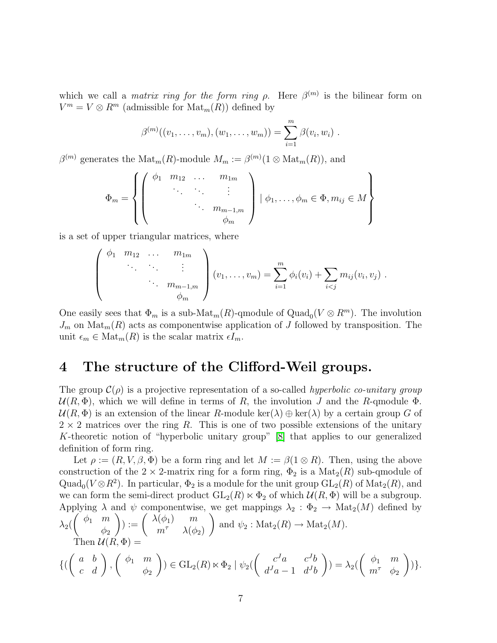which we call a *matrix ring for the form ring*  $\rho$ . Here  $\beta^{(m)}$  is the bilinear form on  $V^m = V \otimes R^m$  (admissible for  $\text{Mat}_m(R)$ ) defined by

$$
\beta^{(m)}((v_1,\ldots,v_m),(w_1,\ldots,w_m))=\sum_{i=1}^m\beta(v_i,w_i).
$$

 $\beta^{(m)}$  generates the  $\text{Mat}_m(R)$ -module  $M_m := \beta^{(m)}(1 \otimes \text{Mat}_m(R))$ , and

$$
\Phi_m = \left\{ \left( \begin{array}{cccc} \phi_1 & m_{12} & \dots & m_{1m} \\ \vdots & \vdots & \vdots \\ & \ddots & \vdots \\ & & \ddots & m_{m-1,m} \\ & & & \phi_m \end{array} \right) \mid \phi_1, \dots, \phi_m \in \Phi, m_{ij} \in M \right\}
$$

is a set of upper triangular matrices, where

$$
\begin{pmatrix}\n\phi_1 & m_{12} & \dots & m_{1m} \\
\vdots & \vdots & \vdots \\
m_{m-1,m} & \phi_m\n\end{pmatrix} (v_1, \dots, v_m) = \sum_{i=1}^m \phi_i(v_i) + \sum_{i < j} m_{ij}(v_i, v_j).
$$

One easily sees that  $\Phi_m$  is a sub-Mat<sub>m</sub> $(R)$ -qmodule of Quad<sub>0</sub> $(V \otimes R^m)$ . The involution  $J_m$  on  $\text{Mat}_m(R)$  acts as componentwise application of J followed by transposition. The unit  $\epsilon_m \in \text{Mat}_m(R)$  is the scalar matrix  $\epsilon I_m$ .

#### <span id="page-6-0"></span>4 The structure of the Clifford-Weil groups.

The group  $\mathcal{C}(\rho)$  is a projective representation of a so-called *hyperbolic co-unitary group*  $U(R, \Phi)$ , which we will define in terms of R, the involution J and the R-qmodule  $\Phi$ .  $\mathcal{U}(R,\Phi)$  is an extension of the linear R-module ker( $\lambda$ )  $\oplus$  ker( $\lambda$ ) by a certain group G of  $2 \times 2$  matrices over the ring R. This is one of two possible extensions of the unitary K-theoretic notion of "hyperbolic unitary group" [\[8\]](#page-16-3) that applies to our generalized definition of form ring.

Let  $\rho := (R, V, \beta, \Phi)$  be a form ring and let  $M := \beta(1 \otimes R)$ . Then, using the above construction of the  $2 \times 2$ -matrix ring for a form ring,  $\Phi_2$  is a Mat<sub>2</sub>(R) sub-qmodule of Quad<sub>0</sub>( $V \otimes R^2$ ). In particular,  $\Phi_2$  is a module for the unit group  $GL_2(R)$  of  $Mat_2(R)$ , and we can form the semi-direct product  $GL_2(R) \ltimes \Phi_2$  of which  $\mathcal{U}(R, \Phi)$  will be a subgroup. Applying  $\lambda$  and  $\psi$  componentwise, we get mappings  $\lambda_2 : \Phi_2 \to Mat_2(M)$  defined by  $\lambda_2($  $\left(\begin{array}{cc} \phi_1 & m \end{array}\right)$  $\phi_2$  $\bigg) := \begin{pmatrix} \lambda(\phi_1) & m \\ m^{\tau} & \lambda(\phi) \end{pmatrix}$  $m^{\tau}$   $\lambda(\phi_2)$  $\setminus$ and  $\psi_2$ : Mat<sub>2</sub> $(R) \rightarrow$  Mat<sub>2</sub> $(M)$ . Then  $\mathcal{U}(R,\Phi) =$ {(  $\left(\begin{array}{cc} a & b \\ c & d \end{array}\right),$  $\left( \phi_1 \right)$  $\phi_2$  $\Big)$ )  $\in$  GL<sub>2</sub>(*R*)  $\ltimes$   $\Phi$ <sub>2</sub>  $\Big| \psi_2$ ( $\begin{pmatrix} c^J a & c^J b \\ d^J a - 1 & d^J b \end{pmatrix}$  $d^J a - 1 \quad d^J b$  $\setminus$  $)=\lambda _{2}(% \overline{a},\overline{b})$  $\left( \begin{array}{cc} \phi_1 & m \end{array} \right)$  $m^{\tau}$   $\phi_2$  $\setminus$ )}.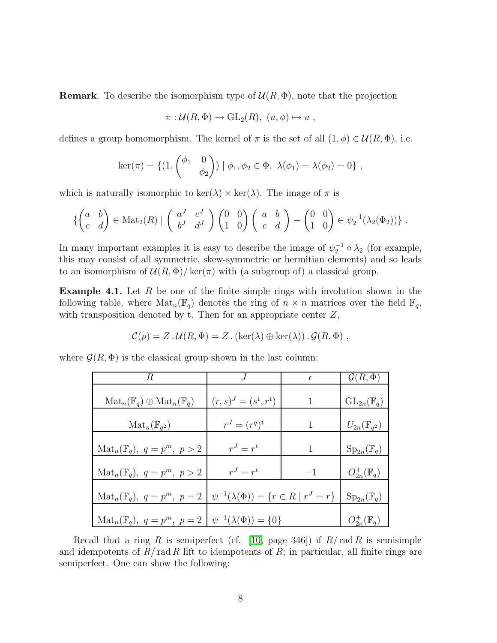**Remark**. To describe the isomorphism type of  $\mathcal{U}(R, \Phi)$ , note that the projection

$$
\pi: \mathcal{U}(R, \Phi) \to \mathrm{GL}_2(R), \ (u, \phi) \mapsto u ,
$$

defines a group homomorphism. The kernel of  $\pi$  is the set of all  $(1, \phi) \in \mathcal{U}(R, \Phi)$ , i.e.

$$
\ker(\pi) = \{ (1, \begin{pmatrix} \phi_1 & 0 \\ & \phi_2 \end{pmatrix}) \mid \phi_1, \phi_2 \in \Phi, \ \lambda(\phi_1) = \lambda(\phi_2) = 0 \},
$$

which is naturally isomorphic to  $\ker(\lambda) \times \ker(\lambda)$ . The image of  $\pi$  is

$$
\left\{ \begin{pmatrix} a & b \\ c & d \end{pmatrix} \in \text{Mat}_2(R) \mid \begin{pmatrix} a^J & c^J \\ b^J & d^J \end{pmatrix} \begin{pmatrix} 0 & 0 \\ 1 & 0 \end{pmatrix} \begin{pmatrix} a & b \\ c & d \end{pmatrix} - \begin{pmatrix} 0 & 0 \\ 1 & 0 \end{pmatrix} \in \psi_2^{-1}(\lambda_2(\Phi_2)) \right\}.
$$

In many important examples it is easy to describe the image of  $\psi_2^{-1} \circ \lambda_2$  (for example, this may consist of all symmetric, skew-symmetric or hermitian elements) and so leads to an isomorphism of  $\mathcal{U}(R,\Phi)/\ker(\pi)$  with (a subgroup of) a classical group.

**Example 4.1.** Let R be one of the finite simple rings with involution shown in the following table, where  $\text{Mat}_n(\mathbb{F}_q)$  denotes the ring of  $n \times n$  matrices over the field  $\mathbb{F}_q$ , with transposition denoted by t. Then for an appropriate center  $Z$ ,

$$
\mathcal{C}(\rho) = Z \cdot \mathcal{U}(R, \Phi) = Z \cdot (\ker(\lambda) \oplus \ker(\lambda)) \cdot \mathcal{G}(R, \Phi) ,
$$

where  $\mathcal{G}(R, \Phi)$  is the classical group shown in the last column:

| R.                                                                             |                                                       | $\epsilon$ | $\mathcal{G}(R,\Phi)$                  |
|--------------------------------------------------------------------------------|-------------------------------------------------------|------------|----------------------------------------|
| $\operatorname{Mat}_n(\mathbb{F}_q) \oplus \operatorname{Mat}_n(\mathbb{F}_q)$ | $(r, s)^J = (s^{\rm t}, r^{\rm t})$                   |            | $\mathrm{GL}_{2n}(\mathbb{F}_q)$       |
| $\mathrm{Mat}_n(\mathbb{F}_{q^2})$                                             | $r^{J} = (r^{q})^{\rm t}$                             | 1          | $U_{2n}(\mathbb{F}_{q^2})$             |
| $\text{Mat}_n(\mathbb{F}_q)$ , $q = p^m$ , $p > 2$                             | $r^J = r^{\mathrm{t}}$                                | 1          | $\operatorname{Sp}_{2n}(\mathbb{F}_q)$ |
| $\text{Mat}_n(\mathbb{F}_q)$ , $q = p^m$ , $p > 2$                             | $r^J=r^t$                                             | $-1$       | $O_{2n}^+(\mathbb{F}_q)$               |
| $\text{Mat}_n(\mathbb{F}_q)$ , $q=p^m$ , $p=2$                                 | $\psi^{-1}(\lambda(\Phi)) = \{r \in R \mid r^J = r\}$ |            | $\operatorname{Sp}_{2n}(\mathbb{F}_q)$ |
| $\text{Mat}_n(\mathbb{F}_q)$ , $q=p^m$ , $p=2$                                 | $\psi^{-1}(\lambda(\Phi)) = \{0\}$                    |            | $O_{2n}^+(\mathbb{F}_q)$               |

Recall that a ring R is semiperfect (cf. [\[10,](#page-16-5) page 346]) if  $R/\text{rad } R$  is semisimple and idempotents of  $R/\text{rad } R$  lift to idempotents of  $R$ ; in particular, all finite rings are semiperfect. One can show the following: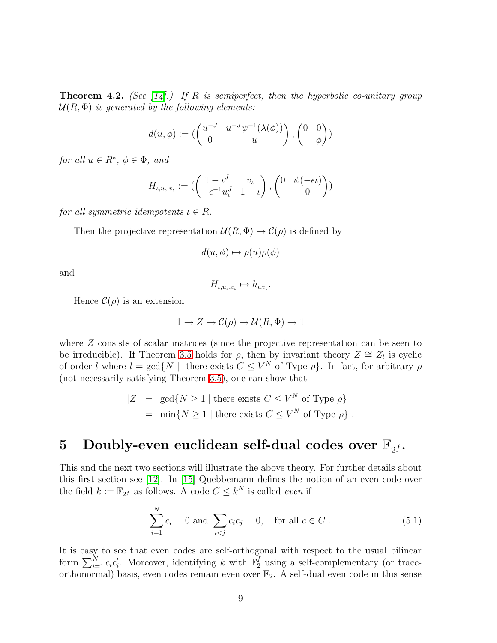Theorem 4.2. *(See [\[14\]](#page-16-2).) If* R *is semiperfect, then the hyperbolic co-unitary group*  $U(R, \Phi)$  *is generated by the following elements:* 

$$
d(u, \phi) := \begin{pmatrix} u^{-J} & u^{-J} \psi^{-1}(\lambda(\phi)) \\ 0 & u \end{pmatrix}, \begin{pmatrix} 0 & 0 \\ \phi \end{pmatrix} \begin{pmatrix} 0 & 0 \\ 0 & 0 \end{pmatrix}
$$

*for all*  $u \in R^*$ *,*  $\phi \in \Phi$ *, and* 

$$
H_{\iota, u_{\iota}, v_{\iota}} := (\begin{pmatrix} 1 - \iota^J & v_{\iota} \\ -\epsilon^{-1} u_{\iota}^J & 1 - \iota \end{pmatrix}, \begin{pmatrix} 0 & \psi(-\epsilon \iota) \\ 0 & 0 \end{pmatrix})
$$

*for all symmetric idempotents*  $\iota \in R$ *.* 

Then the projective representation  $\mathcal{U}(R,\Phi) \to \mathcal{C}(\rho)$  is defined by

$$
d(u, \phi) \mapsto \rho(u)\rho(\phi)
$$

and

$$
H_{\iota, u_{\iota}, v_{\iota}} \mapsto h_{\iota, v_{\iota}}.
$$

Hence  $\mathcal{C}(\rho)$  is an extension

$$
1 \to Z \to \mathcal{C}(\rho) \to \mathcal{U}(R, \Phi) \to 1
$$

where  $Z$  consists of scalar matrices (since the projective representation can be seen to be irreducible). If Theorem [3.5](#page-5-0) holds for  $\rho$ , then by invariant theory  $Z \cong Z_l$  is cyclic of order l where  $l = \gcd\{N \mid \text{ there exists } C \leq V^N \text{ of Type } \rho\}$ . In fact, for arbitrary  $\rho$ (not necessarily satisfying Theorem [3.5\)](#page-5-0), one can show that

$$
|Z| = \gcd\{N \ge 1 \mid \text{there exists } C \le V^N \text{ of Type } \rho\}
$$
  
= min $\{N \ge 1 \mid \text{there exists } C \le V^N \text{ of Type } \rho\}$ .

## <span id="page-8-0"></span>5 Doubly-even euclidean self-dual codes over  $\mathbb{F}_{2^f}.$

This and the next two sections will illustrate the above theory. For further details about this first section see [\[12\]](#page-16-6). In [\[15\]](#page-16-7) Quebbemann defines the notion of an even code over the field  $k := \mathbb{F}_{2^f}$  as follows. A code  $C \leq k^N$  is called *even* if

<span id="page-8-1"></span>
$$
\sum_{i=1}^{N} c_i = 0 \text{ and } \sum_{i < j} c_i c_j = 0, \quad \text{for all } c \in C \ . \tag{5.1}
$$

It is easy to see that even codes are self-orthogonal with respect to the usual bilinear form  $\sum_{i=1}^{N} c_i c'_i$ . Moreover, identifying k with  $\mathbb{F}_2^f$  using a self-complementary (or traceorthonormal) basis, even codes remain even over  $\mathbb{F}_2$ . A self-dual even code in this sense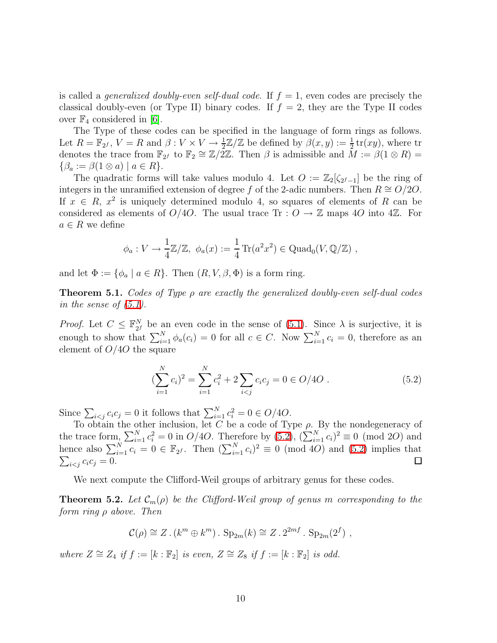is called a *generalized doubly-even self-dual code*. If  $f = 1$ , even codes are precisely the classical doubly-even (or Type II) binary codes. If  $f = 2$ , they are the Type II codes over  $\mathbb{F}_4$  considered in [\[6\]](#page-16-8).

The Type of these codes can be specified in the language of form rings as follows. Let  $R = \mathbb{F}_{2^f}$ ,  $V = R$  and  $\beta: V \times V \to \frac{1}{2}\mathbb{Z}/\mathbb{Z}$  be defined by  $\beta(x, y) := \frac{1}{2}$  tr(xy), where tr denotes the trace from  $\mathbb{F}_{2^f}$  to  $\mathbb{F}_2 \cong \mathbb{Z}/2\mathbb{Z}$ . Then  $\beta$  is admissible and  $M := \beta(1 \otimes R) =$  $\{\beta_a := \beta(1 \otimes a) \mid a \in R\}.$ 

The quadratic forms will take values modulo 4. Let  $O := \mathbb{Z}_2[\zeta_{2^f-1}]$  be the ring of integers in the unramified extension of degree f of the 2-adic numbers. Then  $R \cong O/2O$ . If  $x \in R$ ,  $x^2$  is uniquely determined modulo 4, so squares of elements of R can be considered as elements of  $O/4O$ . The usual trace Tr :  $O \rightarrow \mathbb{Z}$  maps 40 into 4 $\mathbb{Z}$ . For  $a \in R$  we define

$$
\phi_a: V \to \frac{1}{4}\mathbb{Z}/\mathbb{Z}, \ \phi_a(x) := \frac{1}{4}\operatorname{Tr}(a^2x^2) \in \operatorname{Quad}_0(V, \mathbb{Q}/\mathbb{Z}),
$$

and let  $\Phi := \{ \phi_a \mid a \in R \}$ . Then  $(R, V, \beta, \Phi)$  is a form ring.

Theorem 5.1. *Codes of Type* ρ *are exactly the generalized doubly-even self-dual codes in the sense of [\(5.1\)](#page-8-1).*

*Proof.* Let  $C \leq \mathbb{F}_{2^j}^N$  $\alpha_2^N$  be an even code in the sense of [\(5.1\)](#page-8-1). Since  $\lambda$  is surjective, it is enough to show that  $\sum_{i=1}^{N} \phi_a(c_i) = 0$  for all  $c \in C$ . Now  $\sum_{i=1}^{N} c_i = 0$ , therefore as an element of  $O/4O$  the square

<span id="page-9-0"></span>
$$
\left(\sum_{i=1}^{N} c_i\right)^2 = \sum_{i=1}^{N} c_i^2 + 2 \sum_{i < j} c_i c_j = 0 \in O/4O \tag{5.2}
$$

Since  $\sum_{i < j} c_i c_j = 0$  it follows that  $\sum_{i=1}^{N} c_i^2 = 0 \in O/4O$ .

To obtain the other inclusion, let C be a code of Type  $\rho$ . By the nondegeneracy of the trace form,  $\sum_{i=1}^{N} c_i^2 = 0$  in  $O/4O$ . Therefore by  $(5.2)$ ,  $(\sum_{i=1}^{N} c_i)^2 \equiv 0 \pmod{2O}$  and hence also  $\sum_{i=1}^{N} c_i = 0 \in \mathbb{F}_{2^f}$ . Then  $(\sum_{i=1}^{N} c_i)^2 \equiv 0 \pmod{4O}$  and  $(5.2)$  implies that  $\sum_{i < j} c_i c_j = 0.$ 

We next compute the Clifford-Weil groups of arbitrary genus for these codes.

**Theorem 5.2.** Let  $\mathcal{C}_m(\rho)$  be the Clifford-Weil group of genus m corresponding to the *form ring* ρ *above. Then*

$$
\mathcal{C}(\rho) \cong Z \cdot (k^m \oplus k^m) \cdot \mathrm{Sp}_{2m}(k) \cong Z \cdot 2^{2mf} \cdot \mathrm{Sp}_{2m}(2^f) ,
$$

*where*  $Z \cong Z_4$  *if*  $f := [k : \mathbb{F}_2]$  *is even,*  $Z \cong Z_8$  *if*  $f := [k : \mathbb{F}_2]$  *is odd.*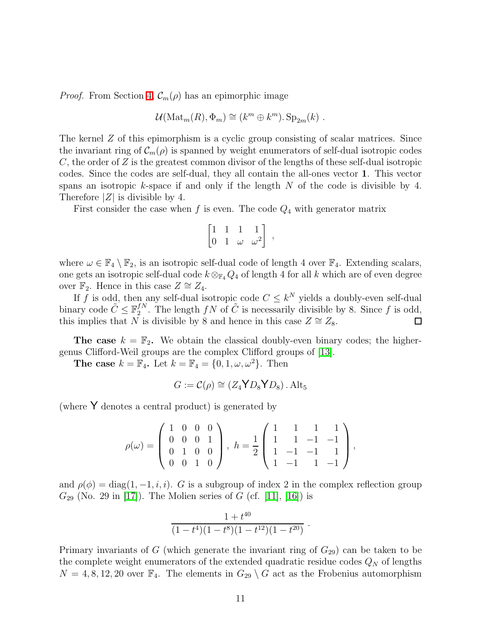*Proof.* From Section [4,](#page-6-0)  $\mathcal{C}_m(\rho)$  has an epimorphic image

$$
\mathcal{U}(\mathrm{Mat}_m(R), \Phi_m) \cong (k^m \oplus k^m). \mathrm{Sp}_{2m}(k) .
$$

The kernel Z of this epimorphism is a cyclic group consisting of scalar matrices. Since the invariant ring of  $\mathcal{C}_m(\rho)$  is spanned by weight enumerators of self-dual isotropic codes  $C$ , the order of  $Z$  is the greatest common divisor of the lengths of these self-dual isotropic codes. Since the codes are self-dual, they all contain the all-ones vector 1. This vector spans an isotropic  $k$ -space if and only if the length  $N$  of the code is divisible by 4. Therefore  $|Z|$  is divisible by 4.

First consider the case when f is even. The code  $Q_4$  with generator matrix

$$
\begin{bmatrix} 1 & 1 & 1 & 1 \ 0 & 1 & \omega & \omega^2 \end{bmatrix},
$$

where  $\omega \in \mathbb{F}_4 \setminus \mathbb{F}_2$ , is an isotropic self-dual code of length 4 over  $\mathbb{F}_4$ . Extending scalars, one gets an isotropic self-dual code  $k \otimes_{\mathbb{F}_4} Q_4$  of length 4 for all k which are of even degree over  $\mathbb{F}_2$ . Hence in this case  $Z \cong Z_4$ .

If f is odd, then any self-dual isotropic code  $C \leq k^N$  yields a doubly-even self-dual binary code  $\tilde{C} \leq \mathbb{F}_2^{fN}$  $j_2^{fN}$ . The length  $fN$  of  $\tilde{C}$  is necessarily divisible by 8. Since f is odd, this implies that N is divisible by 8 and hence in this case  $Z \cong Z_8$ .  $\Box$ 

**The case**  $k = \mathbb{F}_2$ . We obtain the classical doubly-even binary codes; the highergenus Clifford-Weil groups are the complex Clifford groups of [\[13\]](#page-16-1).

The case  $k = \mathbb{F}_4$ . Let  $k = \mathbb{F}_4 = \{0, 1, \omega, \omega^2\}$ . Then

$$
G := \mathcal{C}(\rho) \cong (Z_4 \mathbf{Y} D_8 \mathbf{Y} D_8) . \text{ Alt}_5
$$

(where  $\mathsf{Y}$  denotes a central product) is generated by

$$
\rho(\omega) = \begin{pmatrix} 1 & 0 & 0 & 0 \\ 0 & 0 & 0 & 1 \\ 0 & 1 & 0 & 0 \\ 0 & 0 & 1 & 0 \end{pmatrix}, \ h = \frac{1}{2} \begin{pmatrix} 1 & 1 & 1 & 1 \\ 1 & 1 & -1 & -1 \\ 1 & -1 & -1 & 1 \\ 1 & -1 & 1 & -1 \end{pmatrix},
$$

and  $\rho(\phi) = \text{diag}(1, -1, i, i)$ . G is a subgroup of index 2 in the complex reflection group  $G_{29}$  (No. 29 in [\[17\]](#page-17-1)). The Molien series of G (cf. [\[11\]](#page-16-4), [\[16\]](#page-17-0)) is

$$
\frac{1+t^{40}}{(1-t^4)(1-t^8)(1-t^{12})(1-t^{20})}
$$

.

Primary invariants of G (which generate the invariant ring of  $G_{29}$ ) can be taken to be the complete weight enumerators of the extended quadratic residue codes  $Q_N$  of lengths  $N = 4, 8, 12, 20$  over  $\mathbb{F}_4$ . The elements in  $G_{29} \setminus G$  act as the Frobenius automorphism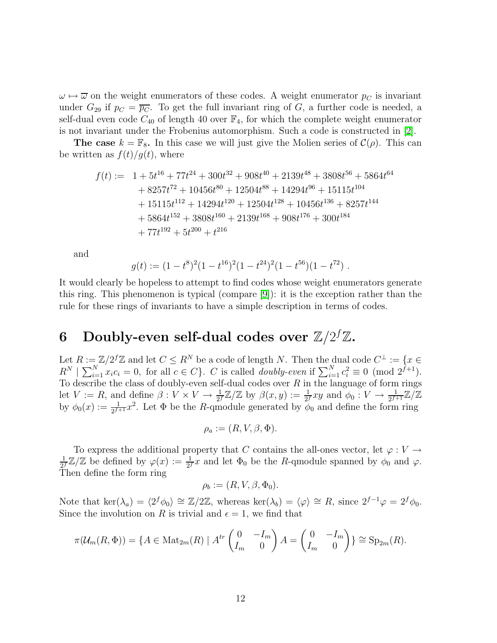$\omega \mapsto \overline{\omega}$  on the weight enumerators of these codes. A weight enumerator  $p_C$  is invariant under  $G_{29}$  if  $p_C = \overline{p_C}$ . To get the full invariant ring of G, a further code is needed, a self-dual even code  $C_{40}$  of length 40 over  $\mathbb{F}_4$ , for which the complete weight enumerator is not invariant under the Frobenius automorphism. Such a code is constructed in [\[2\]](#page-16-9).

**The case**  $k = \mathbb{F}_8$ . In this case we will just give the Molien series of  $\mathcal{C}(\rho)$ . This can be written as  $f(t)/g(t)$ , where

$$
f(t) := 1 + 5t^{16} + 77t^{24} + 300t^{32} + 908t^{40} + 2139t^{48} + 3808t^{56} + 5864t^{64}
$$
  
+ 8257t<sup>72</sup> + 10456t<sup>80</sup> + 12504t<sup>88</sup> + 14294t<sup>96</sup> + 15115t<sup>104</sup>  
+ 15115t<sup>112</sup> + 14294t<sup>120</sup> + 12504t<sup>128</sup> + 10456t<sup>136</sup> + 8257t<sup>144</sup>  
+ 5864t<sup>152</sup> + 3808t<sup>160</sup> + 2139t<sup>168</sup> + 908t<sup>176</sup> + 300t<sup>184</sup>  
+ 77t<sup>192</sup> + 5t<sup>200</sup> + t<sup>216</sup>

and

$$
g(t) := (1 - t^8)^2 (1 - t^{16})^2 (1 - t^{24})^2 (1 - t^{56}) (1 - t^{72})
$$

It would clearly be hopeless to attempt to find codes whose weight enumerators generate this ring. This phenomenon is typical (compare [\[9\]](#page-16-10)): it is the exception rather than the rule for these rings of invariants to have a simple description in terms of codes.

### <span id="page-11-0"></span>6 Doubly-even self-dual codes over  $\mathbb{Z}/2^f\mathbb{Z}.$

Let  $R := \mathbb{Z}/2^f\mathbb{Z}$  and let  $C \leq R^N$  be a code of length N. Then the dual code  $C^{\perp} := \{x \in \mathbb{Z}^N : \exists X \in \mathbb{Z}^N : \exists X \in \mathbb{Z}^N : \exists X \in \mathbb{Z}^N : \exists X \in \mathbb{Z}^N : \exists X \in \mathbb{Z}^N : \exists X \in \mathbb{Z}^N : \exists X \in \mathbb{Z}^N : \exists X \in \mathbb{Z}^N : \exists X$  $R^N \mid \sum_{i=1}^N x_i c_i = 0$ , for all  $c \in C$ . C is called *doubly-even* if  $\sum_{i=1}^N c_i^2 \equiv 0 \pmod{2^{f+1}}$ . To describe the class of doubly-even self-dual codes over  $R$  in the language of form rings let  $V := R$ , and define  $\beta: V \times V \to \frac{1}{2^f} \mathbb{Z}/\mathbb{Z}$  by  $\beta(x, y) := \frac{1}{2^f} xy$  and  $\phi_0: V \to \frac{1}{2^{f+1}} \mathbb{Z}/\mathbb{Z}$ by  $\phi_0(x) := \frac{1}{2^{f+1}}x^2$ . Let  $\Phi$  be the R-qmodule generated by  $\phi_0$  and define the form ring

$$
\rho_a := (R, V, \beta, \Phi).
$$

To express the additional property that C contains the all-ones vector, let  $\varphi: V \to$ 1  $\frac{1}{2^f}\mathbb{Z}/\mathbb{Z}$  be defined by  $\varphi(x) := \frac{1}{2^f}x$  and let  $\Phi_0$  be the R-qmodule spanned by  $\phi_0$  and  $\varphi$ . Then define the form ring

$$
\rho_b := (R, V, \beta, \Phi_0).
$$

Note that ker $(\lambda_a) = \langle 2^f \phi_0 \rangle \cong \mathbb{Z}/2\mathbb{Z}$ , whereas ker $(\lambda_b) = \langle \varphi \rangle \cong R$ , since  $2^{f-1}\varphi = 2^f \phi_0$ . Since the involution on R is trivial and  $\epsilon = 1$ , we find that

$$
\pi(\mathcal{U}_m(R,\Phi)) = \{A \in \text{Mat}_{2m}(R) \mid A^{tr} \begin{pmatrix} 0 & -I_m \\ I_m & 0 \end{pmatrix} A = \begin{pmatrix} 0 & -I_m \\ I_m & 0 \end{pmatrix} \} \cong \text{Sp}_{2m}(R).
$$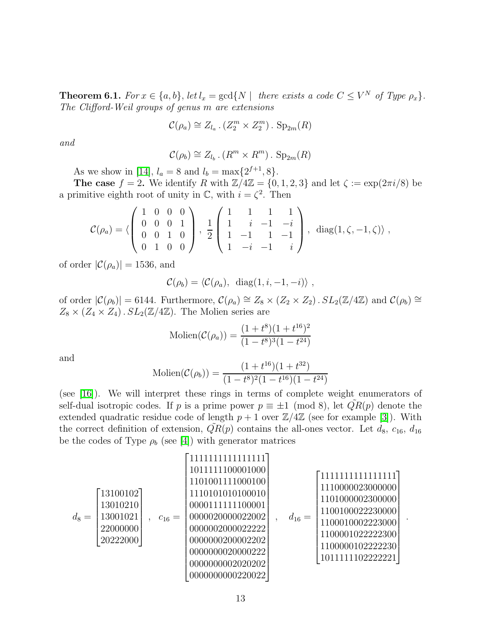**Theorem 6.1.** *For*  $x \in \{a, b\}$ , *let*  $l_x = \text{gcd}\{N \mid \text{ there exists a code } C \leq V^N \text{ of Type } \rho_x\}.$ *The Clifford-Weil groups of genus* m *are extensions*

$$
\mathcal{C}(\rho_a) \cong Z_{l_a} \cdot (Z_2^m \times Z_2^m) \cdot \text{Sp}_{2m}(R)
$$

*and*

$$
\mathcal{C}(\rho_b) \cong Z_{l_b} \cdot (R^m \times R^m) \cdot \text{Sp}_{2m}(R)
$$

As we show in [\[14\]](#page-16-2),  $l_a = 8$  and  $l_b = \max\{2^{f+1}, 8\}.$ 

The case  $f = 2$ . We identify R with  $\mathbb{Z}/4\mathbb{Z} = \{0, 1, 2, 3\}$  and let  $\zeta := \exp(2\pi i/8)$  be a primitive eighth root of unity in  $\mathbb{C}$ , with  $i = \zeta^2$ . Then

$$
\mathcal{C}(\rho_a) = \langle \left( \begin{array}{cccc} 1 & 0 & 0 & 0 \\ 0 & 0 & 0 & 1 \\ 0 & 0 & 1 & 0 \\ 0 & 1 & 0 & 0 \end{array} \right), \frac{1}{2} \left( \begin{array}{cccc} 1 & 1 & 1 & 1 \\ 1 & i & -1 & -i \\ 1 & -1 & 1 & -1 \\ 1 & -i & -1 & i \end{array} \right), \text{ diag}(1, \zeta, -1, \zeta) \rangle,
$$

of order  $|\mathcal{C}(\rho_a)| = 1536$ , and

$$
\mathcal{C}(\rho_b) = \langle \mathcal{C}(\rho_a), \text{ diag}(1, i, -1, -i) \rangle ,
$$

of order  $|\mathcal{C}(\rho_b)| = 6144$ . Furthermore,  $\mathcal{C}(\rho_a) \cong Z_8 \times (Z_2 \times Z_2)$ .  $SL_2(\mathbb{Z}/4\mathbb{Z})$  and  $\mathcal{C}(\rho_b) \cong$  $Z_8 \times (Z_4 \times Z_4)$ .  $SL_2(\mathbb{Z}/4\mathbb{Z})$ . The Molien series are

$$
\text{Molien}(\mathcal{C}(\rho_a)) = \frac{(1+t^8)(1+t^{16})^2}{(1-t^8)^3(1-t^{24})}
$$

and

$$
\text{Molien}(\mathcal{C}(\rho_b)) = \frac{(1+t^{16})(1+t^{32})}{(1-t^8)^2(1-t^{16})(1-t^{24})}
$$

(see [\[16\]](#page-17-0)). We will interpret these rings in terms of complete weight enumerators of self-dual isotropic codes. If p is a prime power  $p \equiv \pm 1 \pmod{8}$ , let  $QR(p)$  denote the extended quadratic residue code of length  $p + 1$  over  $\mathbb{Z}/4\mathbb{Z}$  (see for example [\[3\]](#page-16-11)). With the correct definition of extension,  $QR(p)$  contains the all-ones vector. Let  $d_8$ ,  $c_{16}$ ,  $d_{16}$ be the codes of Type  $\rho_b$  (see [\[4\]](#page-16-12)) with generator matrices

d<sup>8</sup> = 13100102 13010210 13001021 22000000 20222000 , c<sup>16</sup> = 1111111111111111 1011111100001000 1101001111000100 1110101010100010 0000111111100001 0000020000022002 0000002000022222 0000000200002202 0000000020000222 0000000002020202 0000000000220022 , d<sup>16</sup> = 1111111111111111 1110000023000000 1101000002300000 1100100022230000 1100010002223000 1100001022222300 1100000102222230 1011111102222221 

.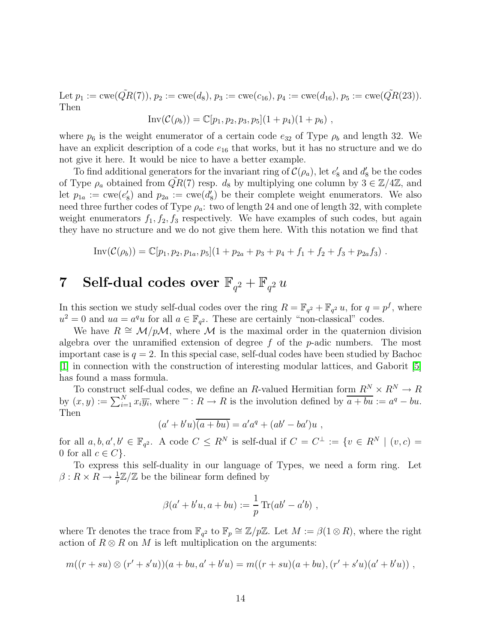Let  $p_1 := \text{cwe}(\tilde{QR}(7)), p_2 := \text{cwe}(d_8), p_3 := \text{cwe}(c_{16}), p_4 := \text{cwe}(d_{16}), p_5 := \text{cwe}(\tilde{QR}(23)).$ Then

$$
Inv(\mathcal{C}(\rho_b)) = \mathbb{C}[p_1, p_2, p_3, p_5](1+p_4)(1+p_6),
$$

where  $p_6$  is the weight enumerator of a certain code  $e_{32}$  of Type  $\rho_b$  and length 32. We have an explicit description of a code  $e_{16}$  that works, but it has no structure and we do not give it here. It would be nice to have a better example.

To find additional generators for the invariant ring of  $\mathcal{C}(\rho_a)$ , let  $e'_8$  and  $d'_8$  be the codes of Type  $\rho_a$  obtained from  $\tilde{QR}(7)$  resp.  $d_8$  by multiplying one column by  $3 \in \mathbb{Z}/4\mathbb{Z}$ , and let  $p_{1a} := \text{cwe}(e_8')$  and  $p_{2a} := \text{cwe}(d_8')$  be their complete weight enumerators. We also need three further codes of Type  $\rho_a$ : two of length 24 and one of length 32, with complete weight enumerators  $f_1, f_2, f_3$  respectively. We have examples of such codes, but again they have no structure and we do not give them here. With this notation we find that

$$
Inv(\mathcal{C}(\rho_b)) = \mathbb{C}[p_1, p_2, p_{1a}, p_5](1 + p_{2a} + p_3 + p_4 + f_1 + f_2 + f_3 + p_{2a}f_3).
$$

# <span id="page-13-0"></span>7 Self-dual codes over  $\mathbb{F}_{q^2} + \mathbb{F}_{q^2} u$

In this section we study self-dual codes over the ring  $R = \mathbb{F}_{q^2} + \mathbb{F}_{q^2} u$ , for  $q = p^f$ , where  $u^2 = 0$  and  $ua = a^q u$  for all  $a \in \mathbb{F}_{q^2}$ . These are certainly "non-classical" codes.

We have  $R \cong \mathcal{M}/p\mathcal{M}$ , where  $\mathcal M$  is the maximal order in the quaternion division algebra over the unramified extension of degree  $f$  of the  $p$ -adic numbers. The most important case is  $q = 2$ . In this special case, self-dual codes have been studied by Bachoc [\[1\]](#page-16-13) in connection with the construction of interesting modular lattices, and Gaborit [\[5\]](#page-16-14) has found a mass formula.

To construct self-dual codes, we define an R-valued Hermitian form  $R^N \times R^N \to R$ by  $(x, y) := \sum_{i=1}^{N} x_i \overline{y_i}$ , where  $\overline{\phantom{a}} : R \to R$  is the involution defined by  $\overline{a + bu} := a^q - bu$ . Then

$$
(a'+b'u)\overline{(a+bu)} = a'a^q + (ab'-ba')u,
$$

for all  $a, b, a', b' \in \mathbb{F}_{q^2}$ . A code  $C \leq R^N$  is self-dual if  $C = C^{\perp} := \{v \in R^N \mid (v, c) =$ 0 for all  $c \in C$ .

To express this self-duality in our language of Types, we need a form ring. Let  $\beta: R \times R \to \frac{1}{p}\mathbb{Z}/\mathbb{Z}$  be the bilinear form defined by

$$
\beta(a' + b'u, a + bu) := \frac{1}{p} \operatorname{Tr}(ab' - a'b) ,
$$

where Tr denotes the trace from  $\mathbb{F}_{q^2}$  to  $\mathbb{F}_p \cong \mathbb{Z}/p\mathbb{Z}$ . Let  $M := \beta(1 \otimes R)$ , where the right action of  $R \otimes R$  on M is left multiplication on the arguments:

$$
m((r+su)\otimes (r'+s'u))(a+bu,a'+b'u)=m((r+su)(a+bu),(r'+s'u)(a'+b'u))
$$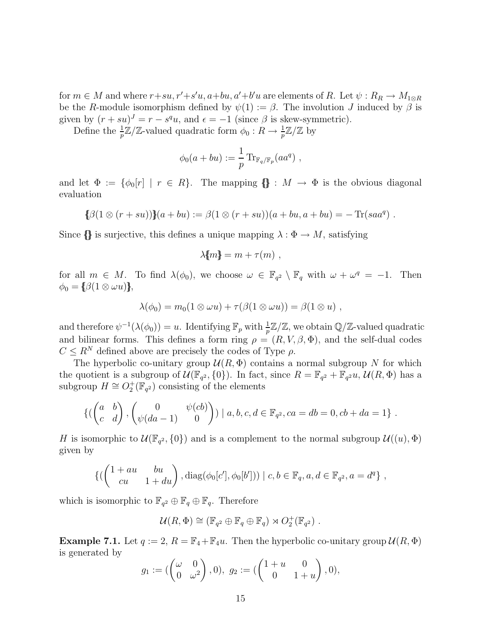for  $m \in M$  and where  $r+su, r'+s'u, a+bu, a'+b'u$  are elements of R. Let  $\psi : R_R \to M_{1 \otimes R}$ be the R-module isomorphism defined by  $\psi(1) := \beta$ . The involution J induced by  $\beta$  is given by  $(r + su)^J = r - s^q u$ , and  $\epsilon = -1$  (since  $\beta$  is skew-symmetric).

Define the  $\frac{1}{p}\mathbb{Z}/\mathbb{Z}$ -valued quadratic form  $\phi_0: R \to \frac{1}{p}\mathbb{Z}/\mathbb{Z}$  by

$$
\phi_0(a+bu) := \frac{1}{p} \operatorname{Tr}_{\mathbb{F}_q/\mathbb{F}_p}(aa^q) ,
$$

and let  $\Phi := {\phi_0[r] \mid r \in R}$ . The mapping  $\{\} : M \to \Phi$  is the obvious diagonal evaluation

$$
\{\beta(1\otimes (r+su))\}(a+bu) := \beta(1\otimes (r+su))(a+bu,a+bu) = -\operatorname{Tr}(saa^q) .
$$

Since  ${\{\}$  is surjective, this defines a unique mapping  $\lambda : \Phi \to M$ , satisfying

$$
\lambda[m] = m + \tau(m) ,
$$

for all  $m \in M$ . To find  $\lambda(\phi_0)$ , we choose  $\omega \in \mathbb{F}_{q^2} \setminus \mathbb{F}_q$  with  $\omega + \omega^q = -1$ . Then  $\phi_0 = \{\beta(1 \otimes \omega u)\},\$ 

$$
\lambda(\phi_0)=m_0(1\otimes \omega u)+\tau(\beta(1\otimes \omega u))=\beta(1\otimes u),
$$

and therefore  $\psi^{-1}(\lambda(\phi_0)) = u$ . Identifying  $\mathbb{F}_p$  with  $\frac{1}{p}\mathbb{Z}/\mathbb{Z}$ , we obtain  $\mathbb{Q}/\mathbb{Z}$ -valued quadratic and bilinear forms. This defines a form ring  $\rho = (R, V, \beta, \Phi)$ , and the self-dual codes  $C \leq R^N$  defined above are precisely the codes of Type  $\rho$ .

The hyperbolic co-unitary group  $\mathcal{U}(R,\Phi)$  contains a normal subgroup N for which the quotient is a subgroup of  $\mathcal{U}(\mathbb{F}_{q^2}, \{0\})$ . In fact, since  $R = \mathbb{F}_{q^2} + \mathbb{F}_{q^2}u$ ,  $\mathcal{U}(R, \Phi)$  has a subgroup  $H \cong O_2^+(\mathbb{F}_{q^2})$  consisting of the elements

$$
\left\{ \begin{pmatrix} a & b \\ c & d \end{pmatrix}, \begin{pmatrix} 0 & \psi(cb) \\ \psi(da-1) & 0 \end{pmatrix} \right\} \mid a, b, c, d \in \mathbb{F}_{q^2}, ca = db = 0, cb + da = 1 \right\}.
$$

H is isomorphic to  $\mathcal{U}(\mathbb{F}_{q^2}, \{0\})$  and is a complement to the normal subgroup  $\mathcal{U}((u), \Phi)$ given by

$$
\{(\begin{pmatrix} 1+au & bu \\ cu & 1+du \end{pmatrix}, diag(\phi_0[c'], \phi_0[b']) ) \mid c, b \in \mathbb{F}_q, a, d \in \mathbb{F}_{q^2}, a = d^q \},\
$$

which is isomorphic to  $\mathbb{F}_{q^2} \oplus \mathbb{F}_q \oplus \mathbb{F}_q$ . Therefore

$$
\mathcal{U}(R,\Phi) \cong (\mathbb{F}_{q^2} \oplus \mathbb{F}_q \oplus \mathbb{F}_q) \rtimes O_2^+(\mathbb{F}_{q^2}) .
$$

**Example 7.1.** Let  $q := 2$ ,  $R = \mathbb{F}_4 + \mathbb{F}_4 u$ . Then the hyperbolic co-unitary group  $\mathcal{U}(R, \Phi)$ is generated by

$$
g_1 := \begin{pmatrix} \omega & 0 \\ 0 & \omega^2 \end{pmatrix}, 0, \ g_2 := \begin{pmatrix} 1+u & 0 \\ 0 & 1+u \end{pmatrix}, 0,
$$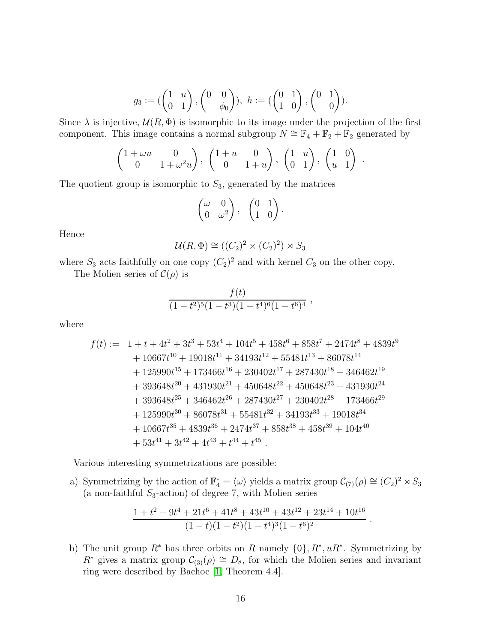$$
g_3 := \begin{pmatrix} 1 & u \\ 0 & 1 \end{pmatrix}, \begin{pmatrix} 0 & 0 \\ & \phi_0 \end{pmatrix}), \ h := \begin{pmatrix} 0 & 1 \\ 1 & 0 \end{pmatrix}, \begin{pmatrix} 0 & 1 \\ & 0 \end{pmatrix}.
$$

Since  $\lambda$  is injective,  $\mathcal{U}(R,\Phi)$  is isomorphic to its image under the projection of the first component. This image contains a normal subgroup  $N \cong \mathbb{F}_4 + \mathbb{F}_2 + \mathbb{F}_2$  generated by

$$
\begin{pmatrix} 1 + \omega u & 0 \\ 0 & 1 + \omega^2 u \end{pmatrix}, \begin{pmatrix} 1 + u & 0 \\ 0 & 1 + u \end{pmatrix}, \begin{pmatrix} 1 & u \\ 0 & 1 \end{pmatrix}, \begin{pmatrix} 1 & 0 \\ u & 1 \end{pmatrix}.
$$

The quotient group is isomorphic to  $S_3$ , generated by the matrices

$$
\begin{pmatrix} \omega & 0 \\ 0 & \omega^2 \end{pmatrix}, \quad \begin{pmatrix} 0 & 1 \\ 1 & 0 \end{pmatrix}.
$$

Hence

$$
\mathcal{U}(R,\Phi) \cong ((C_2)^2 \times (C_2)^2) \rtimes S_3
$$

where  $S_3$  acts faithfully on one copy  $(C_2)^2$  and with kernel  $C_3$  on the other copy.

The Molien series of  $\mathcal{C}(\rho)$  is

$$
\frac{f(t)}{(1-t^2)^5(1-t^3)(1-t^4)^6(1-t^6)^4}
$$

where

$$
f(t) := 1 + t + 4t^{2} + 3t^{3} + 53t^{4} + 104t^{5} + 458t^{6} + 858t^{7} + 2474t^{8} + 4839t^{9}
$$
  
+ 10667t<sup>10</sup> + 19018t<sup>11</sup> + 34193t<sup>12</sup> + 55481t<sup>13</sup> + 86078t<sup>14</sup>  
+ 125990t<sup>15</sup> + 173466t<sup>16</sup> + 230402t<sup>17</sup> + 287430t<sup>18</sup> + 346462t<sup>19</sup>  
+ 393648t<sup>20</sup> + 431930t<sup>21</sup> + 450648t<sup>22</sup> + 450648t<sup>23</sup> + 431930t<sup>24</sup>  
+ 393648t<sup>25</sup> + 346462t<sup>26</sup> + 287430t<sup>27</sup> + 230402t<sup>28</sup> + 173466t<sup>29</sup>  
+ 125990t<sup>30</sup> + 86078t<sup>31</sup> + 55481t<sup>32</sup> + 34193t<sup>33</sup> + 19018t<sup>34</sup>  
+ 10667t<sup>35</sup> + 4839t<sup>36</sup> + 2474t<sup>37</sup> + 858t<sup>38</sup> + 458t<sup>39</sup> + 104t<sup>40</sup>  
+ 53t<sup>41</sup> + 3t<sup>42</sup> + 4t<sup>43</sup> + t<sup>44</sup> + t<sup>45</sup>.

Various interesting symmetrizations are possible:

a) Symmetrizing by the action of  $\mathbb{F}_4^* = \langle \omega \rangle$  yields a matrix group  $C_{(7)}(\rho) \cong (C_2)^2 \rtimes S_3$ (a non-faithful  $S_3$ -action) of degree 7, with Molien series

$$
\frac{1+t^2+9t^4+21t^6+41t^8+43t^{10}+43t^{12}+23t^{14}+10t^{16}}{(1-t)(1-t^2)(1-t^4)^3(1-t^6)^2}
$$

.

b) The unit group  $R^*$  has three orbits on R namely  $\{0\}$ ,  $R^*$ ,  $uR^*$ . Symmetrizing by  $R^*$  gives a matrix group  $\mathcal{C}_{(3)}(\rho) \cong D_8$ , for which the Molien series and invariant ring were described by Bachoc [\[1,](#page-16-13) Theorem 4.4].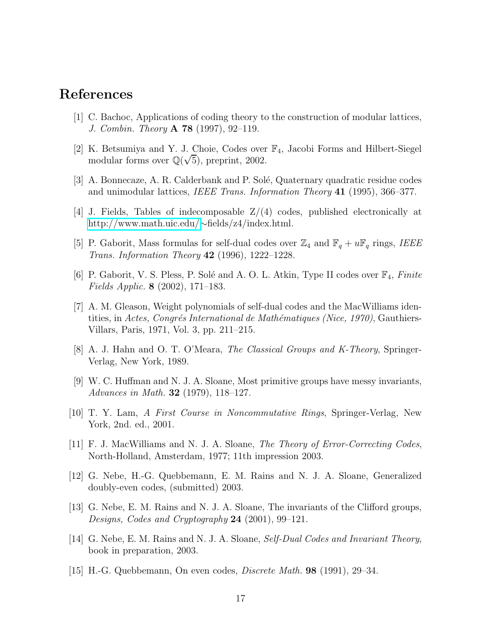#### <span id="page-16-13"></span><span id="page-16-9"></span>References

- [1] C. Bachoc, Applications of coding theory to the construction of modular lattices, *J. Combin. Theory* A 78 (1997), 92–119.
- <span id="page-16-11"></span>[2] K. Betsumiya and Y. J. Choie, Codes over F4, Jacobi Forms and Hilbert-Siegel modular forms over  $\mathbb{Q}(\sqrt{5})$ , preprint, 2002.
- <span id="page-16-12"></span>[3] A. Bonnecaze, A. R. Calderbank and P. Solé, Quaternary quadratic residue codes and unimodular lattices, *IEEE Trans. Information Theory* 41 (1995), 366–377.
- <span id="page-16-14"></span>[4] J. Fields, Tables of indecomposable Z/(4) codes, published electronically at <http://www.math.uic.edu/>∼fields/z4/index.html.
- <span id="page-16-8"></span>[5] P. Gaborit, Mass formulas for self-dual codes over  $\mathbb{Z}_4$  and  $\mathbb{F}_q + u\mathbb{F}_q$  rings, *IEEE Trans. Information Theory* 42 (1996), 1222–1228.
- <span id="page-16-0"></span>[6] P. Gaborit, V. S. Pless, P. Sol´e and A. O. L. Atkin, Type II codes over F4, *Finite Fields Applic.* 8 (2002), 171–183.
- [7] A. M. Gleason, Weight polynomials of self-dual codes and the MacWilliams identities, in *Actes, Congrés International de Mathématiques (Nice, 1970)*, Gauthiers-Villars, Paris, 1971, Vol. 3, pp. 211–215.
- <span id="page-16-10"></span><span id="page-16-3"></span>[8] A. J. Hahn and O. T. O'Meara, *The Classical Groups and K-Theory*, Springer-Verlag, New York, 1989.
- [9] W. C. Huffman and N. J. A. Sloane, Most primitive groups have messy invariants, *Advances in Math.* 32 (1979), 118–127.
- <span id="page-16-5"></span><span id="page-16-4"></span>[10] T. Y. Lam, *A First Course in Noncommutative Rings*, Springer-Verlag, New York, 2nd. ed., 2001.
- <span id="page-16-6"></span>[11] F. J. MacWilliams and N. J. A. Sloane, *The Theory of Error-Correcting Codes*, North-Holland, Amsterdam, 1977; 11th impression 2003.
- [12] G. Nebe, H.-G. Quebbemann, E. M. Rains and N. J. A. Sloane, Generalized doubly-even codes, (submitted) 2003.
- <span id="page-16-1"></span>[13] G. Nebe, E. M. Rains and N. J. A. Sloane, The invariants of the Clifford groups, *Designs, Codes and Cryptography* 24 (2001), 99–121.
- <span id="page-16-7"></span><span id="page-16-2"></span>[14] G. Nebe, E. M. Rains and N. J. A. Sloane, *Self-Dual Codes and Invariant Theory*, book in preparation, 2003.
- [15] H.-G. Quebbemann, On even codes, *Discrete Math.* 98 (1991), 29–34.